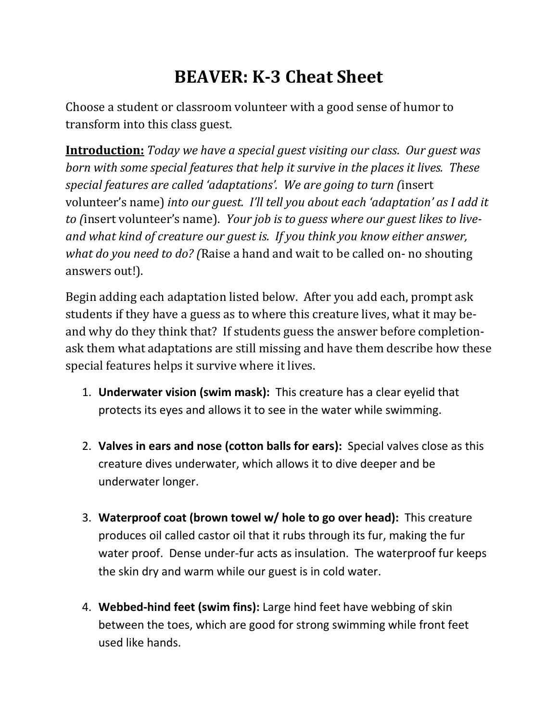## **BEAVER: K-3 Cheat Sheet**

Choose a student or classroom volunteer with a good sense of humor to transform into this class guest.

**Introduction:** *Today we have a special guest visiting our class. Our guest was born with some special features that help it survive in the places it lives. These special features are called 'adaptations'. We are going to turn (*insert volunteer's name) *into our guest. I'll tell you about each 'adaptation' as I add it to (*insert volunteer's name). *Your job is to guess where our guest likes to liveand what kind of creature our guest is. If you think you know either answer, what do you need to do? (*Raise a hand and wait to be called on- no shouting answers out!).

Begin adding each adaptation listed below. After you add each, prompt ask students if they have a guess as to where this creature lives, what it may beand why do they think that? If students guess the answer before completionask them what adaptations are still missing and have them describe how these special features helps it survive where it lives.

- 1. **Underwater vision (swim mask):** This creature has a clear eyelid that protects its eyes and allows it to see in the water while swimming.
- 2. **Valves in ears and nose (cotton balls for ears):** Special valves close as this creature dives underwater, which allows it to dive deeper and be underwater longer.
- 3. **Waterproof coat (brown towel w/ hole to go over head):** This creature produces oil called castor oil that it rubs through its fur, making the fur water proof. Dense under-fur acts as insulation. The waterproof fur keeps the skin dry and warm while our guest is in cold water.
- 4. **Webbed-hind feet (swim fins):** Large hind feet have webbing of skin between the toes, which are good for strong swimming while front feet used like hands.